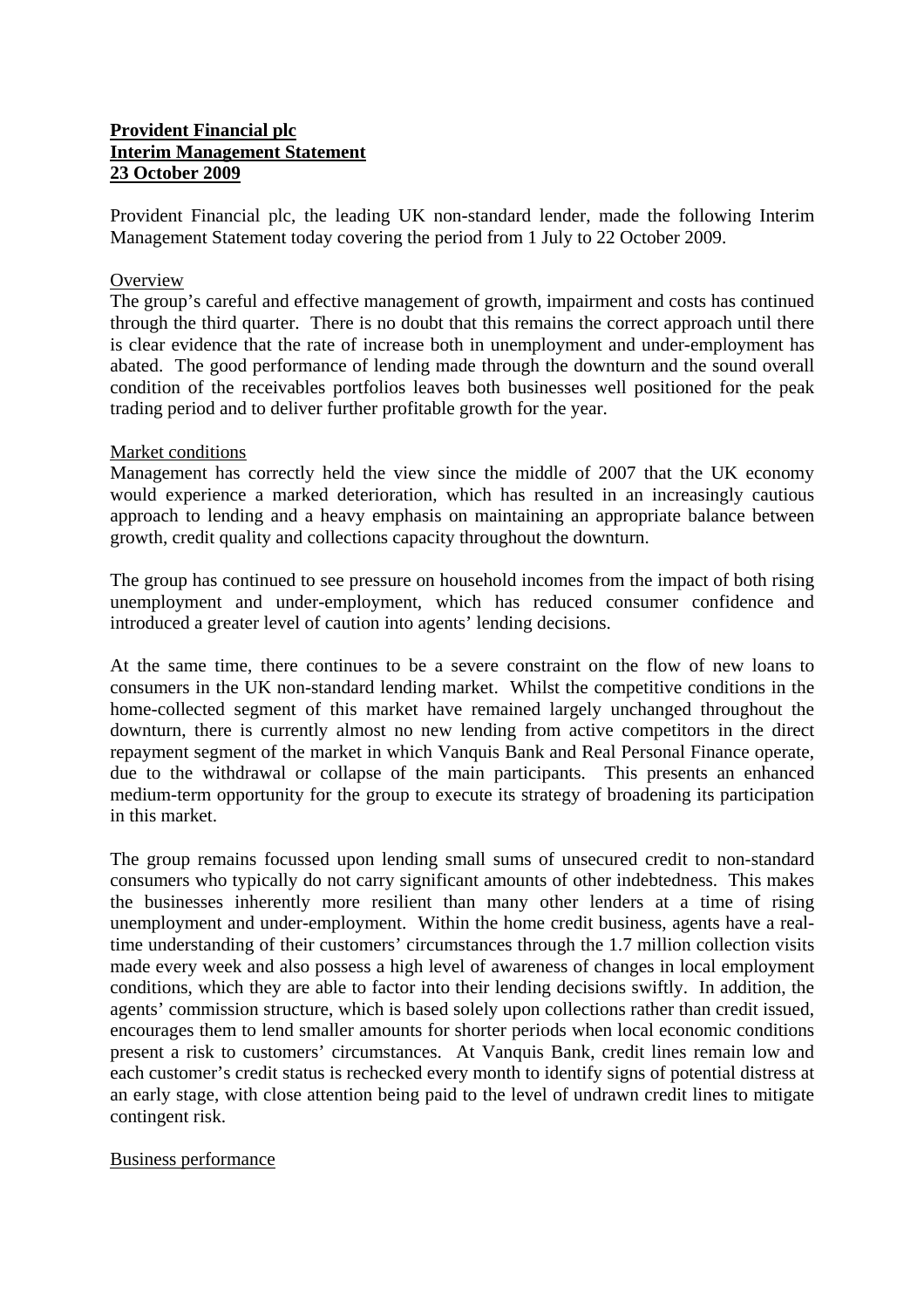# **Provident Financial plc Interim Management Statement 23 October 2009**

Provident Financial plc, the leading UK non-standard lender, made the following Interim Management Statement today covering the period from 1 July to 22 October 2009.

## **Overview**

The group's careful and effective management of growth, impairment and costs has continued through the third quarter. There is no doubt that this remains the correct approach until there is clear evidence that the rate of increase both in unemployment and under-employment has abated. The good performance of lending made through the downturn and the sound overall condition of the receivables portfolios leaves both businesses well positioned for the peak trading period and to deliver further profitable growth for the year.

## Market conditions

Management has correctly held the view since the middle of 2007 that the UK economy would experience a marked deterioration, which has resulted in an increasingly cautious approach to lending and a heavy emphasis on maintaining an appropriate balance between growth, credit quality and collections capacity throughout the downturn.

The group has continued to see pressure on household incomes from the impact of both rising unemployment and under-employment, which has reduced consumer confidence and introduced a greater level of caution into agents' lending decisions.

At the same time, there continues to be a severe constraint on the flow of new loans to consumers in the UK non-standard lending market. Whilst the competitive conditions in the home-collected segment of this market have remained largely unchanged throughout the downturn, there is currently almost no new lending from active competitors in the direct repayment segment of the market in which Vanquis Bank and Real Personal Finance operate, due to the withdrawal or collapse of the main participants. This presents an enhanced medium-term opportunity for the group to execute its strategy of broadening its participation in this market.

The group remains focussed upon lending small sums of unsecured credit to non-standard consumers who typically do not carry significant amounts of other indebtedness. This makes the businesses inherently more resilient than many other lenders at a time of rising unemployment and under-employment. Within the home credit business, agents have a realtime understanding of their customers' circumstances through the 1.7 million collection visits made every week and also possess a high level of awareness of changes in local employment conditions, which they are able to factor into their lending decisions swiftly. In addition, the agents' commission structure, which is based solely upon collections rather than credit issued, encourages them to lend smaller amounts for shorter periods when local economic conditions present a risk to customers' circumstances. At Vanquis Bank, credit lines remain low and each customer's credit status is rechecked every month to identify signs of potential distress at an early stage, with close attention being paid to the level of undrawn credit lines to mitigate contingent risk.

## Business performance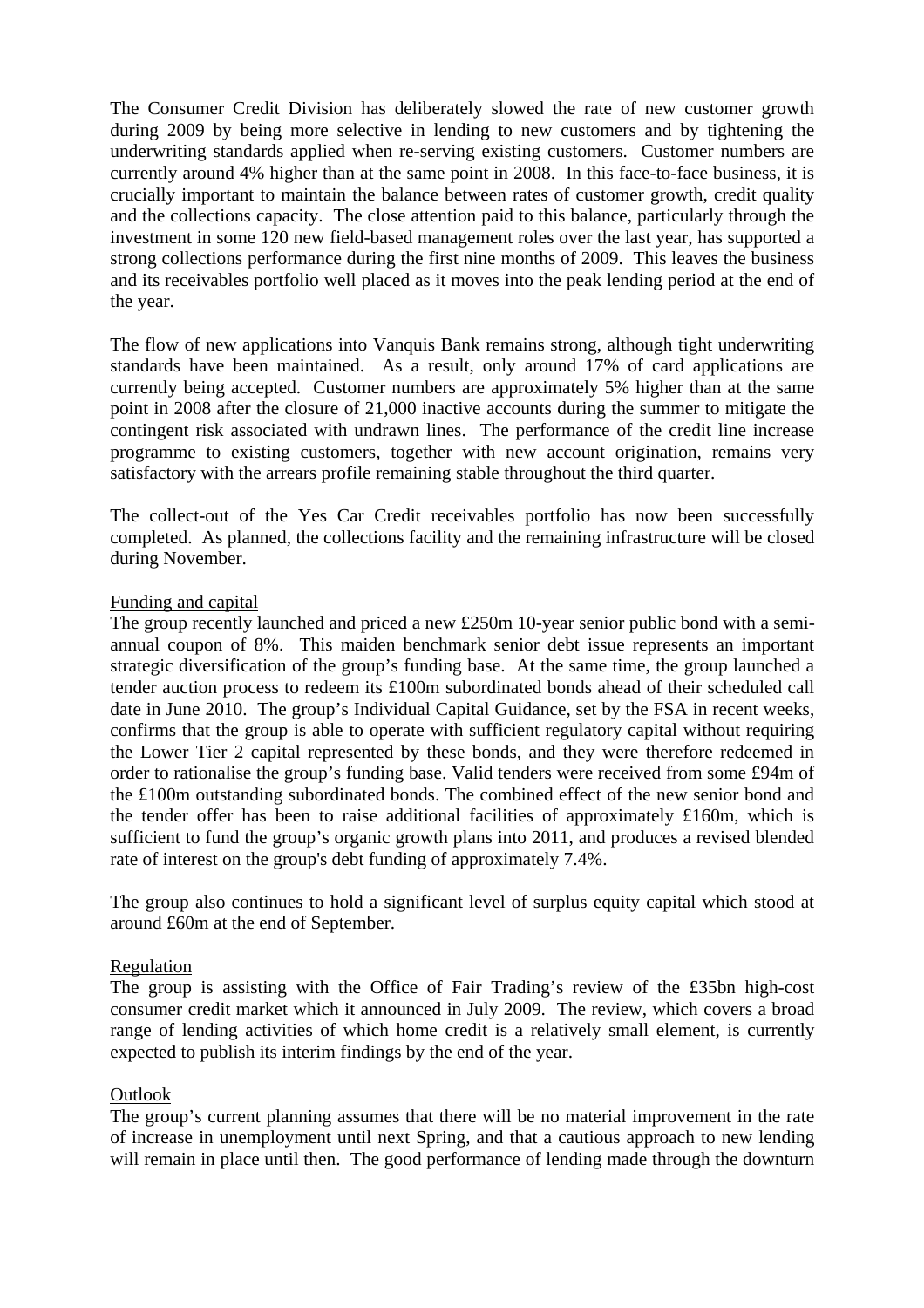The Consumer Credit Division has deliberately slowed the rate of new customer growth during 2009 by being more selective in lending to new customers and by tightening the underwriting standards applied when re-serving existing customers. Customer numbers are currently around 4% higher than at the same point in 2008. In this face-to-face business, it is crucially important to maintain the balance between rates of customer growth, credit quality and the collections capacity. The close attention paid to this balance, particularly through the investment in some 120 new field-based management roles over the last year, has supported a strong collections performance during the first nine months of 2009. This leaves the business and its receivables portfolio well placed as it moves into the peak lending period at the end of the year.

The flow of new applications into Vanquis Bank remains strong, although tight underwriting standards have been maintained. As a result, only around 17% of card applications are currently being accepted. Customer numbers are approximately 5% higher than at the same point in 2008 after the closure of 21,000 inactive accounts during the summer to mitigate the contingent risk associated with undrawn lines. The performance of the credit line increase programme to existing customers, together with new account origination, remains very satisfactory with the arrears profile remaining stable throughout the third quarter.

The collect-out of the Yes Car Credit receivables portfolio has now been successfully completed. As planned, the collections facility and the remaining infrastructure will be closed during November.

## Funding and capital

The group recently launched and priced a new £250m 10-year senior public bond with a semiannual coupon of 8%. This maiden benchmark senior debt issue represents an important strategic diversification of the group's funding base. At the same time, the group launched a tender auction process to redeem its £100m subordinated bonds ahead of their scheduled call date in June 2010. The group's Individual Capital Guidance, set by the FSA in recent weeks, confirms that the group is able to operate with sufficient regulatory capital without requiring the Lower Tier 2 capital represented by these bonds, and they were therefore redeemed in order to rationalise the group's funding base. Valid tenders were received from some £94m of the £100m outstanding subordinated bonds. The combined effect of the new senior bond and the tender offer has been to raise additional facilities of approximately £160m, which is sufficient to fund the group's organic growth plans into 2011, and produces a revised blended rate of interest on the group's debt funding of approximately 7.4%.

The group also continues to hold a significant level of surplus equity capital which stood at around £60m at the end of September.

## Regulation

The group is assisting with the Office of Fair Trading's review of the £35bn high-cost consumer credit market which it announced in July 2009. The review, which covers a broad range of lending activities of which home credit is a relatively small element, is currently expected to publish its interim findings by the end of the year.

## **Outlook**

The group's current planning assumes that there will be no material improvement in the rate of increase in unemployment until next Spring, and that a cautious approach to new lending will remain in place until then. The good performance of lending made through the downturn